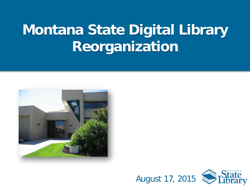# **Montana State Digital Library Reorganization**



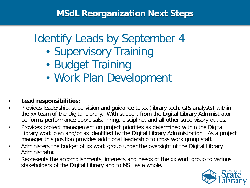# Identify Leads by September 4

- Supervisory Training
- Budget Training
- Work Plan Development

### • **Lead responsibilities:**

- Provides leadership, supervision and guidance to xx (library tech, GIS analysts) within the xx team of the Digital Library. With support from the Digital Library Administrator, performs performance appraisals, hiring, discipline, and all other supervisory duties.
- Provides project management on project priorities as determined within the Digital Library work plan and/or as identified by the Digital Library Administration. As a project manager this position provides additional leadership to cross work group staff.
- Administers the budget of xx work group under the oversight of the Digital Library Administrator.
- Represents the accomplishments, interests and needs of the xx work group to various stakeholders of the Digital Library and to MSL as a whole.

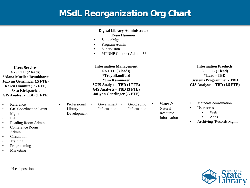### **MSdL Reorganization Org Chart**

#### **Digital Library Administrator Evan Hammer**

- Senior Mgr
- Program Admin
- Supervision
- MTNHP Contract Admin \*\*

**Information Management 6.5 FTE (3 leads) \*Troy Blandford \*Jim Kammerer \*GIS Analyst – TBD (1 FTE) GIS Analysts – TBD (3 FTE) JoLynn Genzlinger (.5 FTE)**

**Users Services 4.75 FTE (2 leads) \*Alana Mueller-Brunkhorst JoLynn Genzlinger (.5 FTE) Karen Dimmitt (.75 FTE) \*Stu Kirkpatrick GIS Analyst - TBD (1 FTE)**

- Reference
- GIS Coordination/Grant Mgmt
- ILL
- Reading Room Admin.
- Conference Room Admin.
- Circulation
- Training
- Programming
- Marketing

\*Lead position

- Professional Library Development
- Government Information

Geographic Information • Water & Natural Resource Information

**Information Products 3.5 FTE (1 lead) \*Lead - TBD Systems Programmer - TBD GIS Analysts – TBD (1.5 FTE)**

- Metadata coordination
- User access
	- Web
	- Apps
- Archiving /Records Mgmt

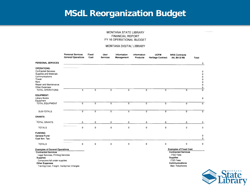### **MSdL Reorganization Budget**

#### MONTANA STATE LIBRARY FINANCIAL REPORT FY 16 OPERATIONAL BUDGET

#### MONTANA DIGITAL LIBRARY

|                                                                                                                                                              | <b>Personal Services</b><br><b>General Operations</b> | Fixed<br>Cost  | User<br>Services | Information<br>Management | Information<br><b>Products</b> | <b>UOFM</b><br><b>Heritage Contract</b> | <b>NRIS Contracts</b><br>AA, BA & NB                                                                                   | Total                                |
|--------------------------------------------------------------------------------------------------------------------------------------------------------------|-------------------------------------------------------|----------------|------------------|---------------------------|--------------------------------|-----------------------------------------|------------------------------------------------------------------------------------------------------------------------|--------------------------------------|
| <b>PERSONAL SERVICES</b>                                                                                                                                     |                                                       |                |                  |                           |                                |                                         |                                                                                                                        | 0                                    |
| <b>OPERATIONS:</b><br><b>Contracted Services</b><br>Supplies and Materials<br>Communications<br>Travel<br>Rent<br>Repair and Maintenance                     |                                                       |                |                  |                           |                                |                                         |                                                                                                                        | 0<br>0<br>0<br>0<br>$\mathbf 0$<br>0 |
| Other Expenses<br><b>TOTAL OPERATIONS</b>                                                                                                                    | 0                                                     | 0              | 0                | 0                         | $\circ$                        | 0                                       | $\overline{0}$                                                                                                         | 0<br>$\overline{0}$                  |
| <b>EQUIPMENT:</b><br>Library Books<br>Equipment                                                                                                              |                                                       |                |                  |                           |                                |                                         |                                                                                                                        | 0                                    |
| <b>TOTAL EQUIPMENT</b>                                                                                                                                       | 0                                                     | $\overline{0}$ | 0                | $\overline{0}$            | $\overline{0}$                 | 0                                       | o                                                                                                                      | $\overline{0}$                       |
| SUB-TOTALS                                                                                                                                                   | 0                                                     | 0              | $0$ .            | 0                         | o                              | 0                                       | o                                                                                                                      | $\overline{0}$                       |
| <b>GRANTS:</b>                                                                                                                                               |                                                       |                |                  |                           |                                |                                         |                                                                                                                        |                                      |
| <b>TOTAL GRANTS</b>                                                                                                                                          | 0                                                     | 0              | 0                | 0                         | 0                              | 0                                       | o                                                                                                                      | 0                                    |
| <b>TOTALS</b>                                                                                                                                                | 0                                                     | 0              | o                | 0                         | 0                              | 0                                       | 0                                                                                                                      | o                                    |
| <b>FUNDING:</b><br>General Fund:<br>Coal Sev. Tax:                                                                                                           |                                                       |                |                  |                           |                                |                                         |                                                                                                                        | 0<br>0                               |
| <b>TOTALS</b>                                                                                                                                                | 0                                                     | 0              | o                | o                         | 0                              | 0                                       | 0                                                                                                                      | 0                                    |
| <b>Examples of General Operations</b><br><b>Contracted Services</b><br>Legal Services, Printing Services<br><b>Supplies</b><br>Computers fall under supplies |                                                       |                |                  |                           |                                |                                         | <b>Examples of Fixed Cost</b><br><b>Contracted Services</b><br><b>ITSD Fees</b><br><b>Supplies</b><br><b>ITSD Fees</b> |                                      |

**Other Expenses** 

Training Cost, Freight, Handyman Charges

Communications Mail, Telephones

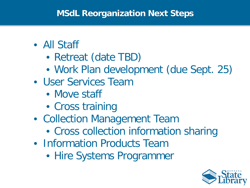### **MSdL Reorganization Next Steps**

## • All Staff

- Retreat (date TBD)
- Work Plan development (due Sept. 25)
- User Services Team
	- Move staff
	- Cross training
- Collection Management Team
	- Cross collection information sharing
- Information Products Team
	- Hire Systems Programmer